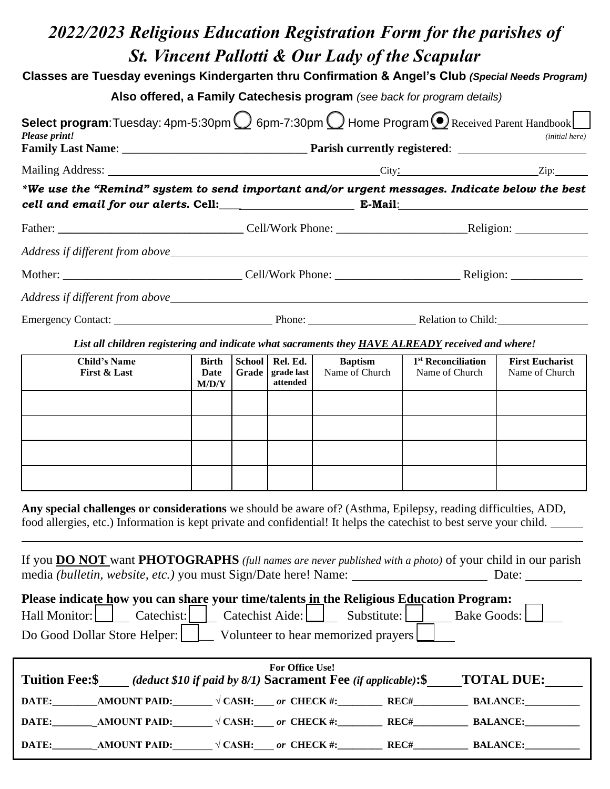# *2022/2023 Religious Education Registration Form for the parishes of St. Vincent Pallotti & Our Lady of the Scapular* **Classes are Tuesday evenings Kindergarten thru Confirmation & Angel's Club** *(Special Needs Program)* **Also offered, a Family Catechesis program** *(see back for program details)* **Select program**:Tuesday: 4pm-5:30pm  $\bigcirc$  6pm-7:30pm  $\bigcirc$  Home Program  $\bigcirc$  Received Parent Handbook  $\bigcirc$ *Please print! (initial here)* **Family Last Name**: \_\_\_\_\_\_\_\_\_\_\_\_\_\_\_\_\_\_\_\_\_\_\_\_\_\_\_\_\_\_\_ **Parish currently registered**: Mailing Address: City: Zip: *\*We use the "Remind" system to send important and/or urgent messages. Indicate below the best cell and email for our alerts.* **Cell:\_\_\_\_ E-Mail**: Father: **Example 2.1** Cell/Work Phone: **Religion:** Religion: *Address if different from above*  Mother: \_\_\_\_\_\_\_\_\_\_\_\_\_\_\_\_\_\_\_\_\_\_\_\_\_\_\_\_\_\_ Cell/Work Phone: \_\_\_\_\_\_\_\_\_\_\_\_\_\_\_\_\_\_\_\_\_ Religion: \_\_\_\_\_\_\_\_\_\_\_\_ *Address if different from above* Emergency Contact: Phone: Phone: Relation to Child: *List all children registering and indicate what sacraments they HAVE ALREADY received and where!* **Child's Name First & Last Birth Date M/D/Y School Grade grade last Rel. Ed. attended Baptism** Name of Church **1 st Reconciliation** Name of Church **First Eucharist** Name of Church **Any special challenges or considerations** we should be aware of? (Asthma, Epilepsy, reading difficulties, ADD, food allergies, etc.) Information is kept private and confidential! It helps the catechist to best serve your child. If you **DO NOT** want **PHOTOGRAPHS** *(full names are never published with a photo)* of your child in our parish media *(bulletin, website, etc.)* you must Sign/Date here! Name: Date: Date: Date: **Please indicate how you can share your time/talents in the Religious Education Program:**  Hall Monitor: Catechist: Catechist: Catechist Aide: Substitute: Bake Goods: L Do Good Dollar Store Helper: \_\_\_\_\_ Volunteer to hear memorized prayers **For Office Use! Tuition Fee:\$** *(deduct \$10 if paid by 8/1)* **Sacrament Fee** *(if applicable)***:\$ TOTAL DUE: DATE:\_\_\_\_\_\_\_\_\_AMOUNT PAID:\_\_\_\_\_\_\_\_ √ CASH:\_\_\_\_** *or* **CHECK #:\_\_\_\_\_\_\_\_\_\_\_ REC#\_\_\_\_\_\_\_\_\_\_\_\_ BALANCE:\_\_\_\_\_\_\_\_\_\_\_\_ DATE:\_\_\_\_\_\_\_\_\_AMOUNT PAID:\_\_\_\_\_\_\_\_ √ CASH:\_\_\_\_** *or* **CHECK #:\_\_\_\_\_\_\_\_\_ REC#\_\_\_\_\_\_\_\_\_\_\_ BALANCE:\_\_\_\_\_\_\_\_\_\_\_ DATE:\_\_\_\_\_\_\_\_\_\_\_\_\_AMOUNT PAID:\_\_\_\_\_\_\_\_\_ √ CASH:\_\_\_\_\_** *or* **CHECK #:\_\_\_\_\_\_\_\_\_\_\_\_ REC#\_\_\_\_\_\_\_\_\_\_\_\_\_ BALANCE:\_\_\_\_\_\_\_\_\_\_**